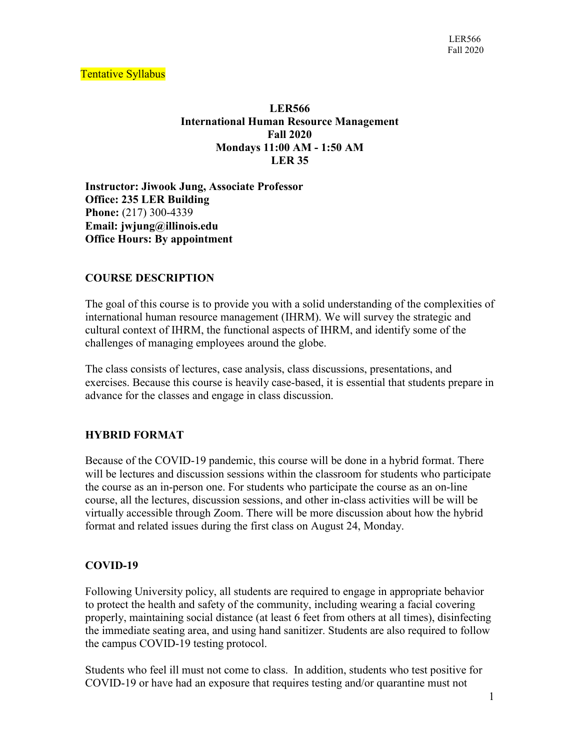## **LER566 International Human Resource Management Fall 2020 Mondays 11:00 AM - 1:50 AM LER 35**

**Instructor: Jiwook Jung, Associate Professor Office: 235 LER Building Phone:** (217) 300-4339 **Email: [jwjung@illinois.edu](mailto:ychen01@illinois.edu) Office Hours: By appointment**

# **COURSE DESCRIPTION**

The goal of this course is to provide you with a solid understanding of the complexities of international human resource management (IHRM). We will survey the strategic and cultural context of IHRM, the functional aspects of IHRM, and identify some of the challenges of managing employees around the globe.

The class consists of lectures, case analysis, class discussions, presentations, and exercises. Because this course is heavily case-based, it is essential that students prepare in advance for the classes and engage in class discussion.

# **HYBRID FORMAT**

Because of the COVID-19 pandemic, this course will be done in a hybrid format. There will be lectures and discussion sessions within the classroom for students who participate the course as an in-person one. For students who participate the course as an on-line course, all the lectures, discussion sessions, and other in-class activities will be will be virtually accessible through Zoom. There will be more discussion about how the hybrid format and related issues during the first class on August 24, Monday.

## **COVID-19**

Following University policy, all students are required to engage in appropriate behavior to protect the health and safety of the community, including wearing a facial covering properly, maintaining social distance (at least 6 feet from others at all times), disinfecting the immediate seating area, and using hand sanitizer. Students are also required to follow the campus COVID-19 testing protocol.

Students who feel ill must not come to class. In addition, students who test positive for COVID-19 or have had an exposure that requires testing and/or quarantine must not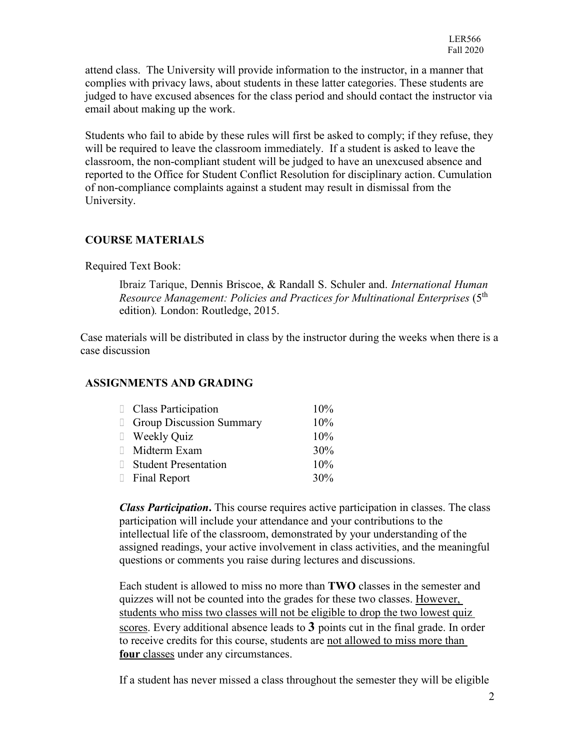attend class. The University will provide information to the instructor, in a manner that complies with privacy laws, about students in these latter categories. These students are judged to have excused absences for the class period and should contact the instructor via email about making up the work.

Students who fail to abide by these rules will first be asked to comply; if they refuse, they will be required to leave the classroom immediately. If a student is asked to leave the classroom, the non-compliant student will be judged to have an unexcused absence and reported to the Office for Student Conflict Resolution for disciplinary action. Cumulation of non-compliance complaints against a student may result in dismissal from the University.

## **COURSE MATERIALS**

Required Text Book:

[Ibraiz Tarique,](http://www.routledge.com/books/search/author/ibraiz_tarique/) Dennis Briscoe, & Randall S. Schuler and. *International Human Resource Management: Policies and Practices for Multinational Enterprises* (5<sup>th</sup> edition)*.* London: Routledge, 2015.

Case materials will be distributed in class by the instructor during the weeks when there is a case discussion

## **ASSIGNMENTS AND GRADING**

| Class Participation             | 10% |
|---------------------------------|-----|
| <b>Group Discussion Summary</b> | 10% |
| □ Weekly Quiz                   | 10% |
| □ Midterm Exam                  | 30% |
| <b>Student Presentation</b>     | 10% |
| Final Report                    | 30% |

*Class Participation***.** This course requires active participation in classes. The class participation will include your attendance and your contributions to the intellectual life of the classroom, demonstrated by your understanding of the assigned readings, your active involvement in class activities, and the meaningful questions or comments you raise during lectures and discussions.

Each student is allowed to miss no more than **TWO** classes in the semester and quizzes will not be counted into the grades for these two classes. However, students who miss two classes will not be eligible to drop the two lowest quiz scores. Every additional absence leads to **3** points cut in the final grade. In order to receive credits for this course, students are not allowed to miss more than **four** classes under any circumstances.

If a student has never missed a class throughout the semester they will be eligible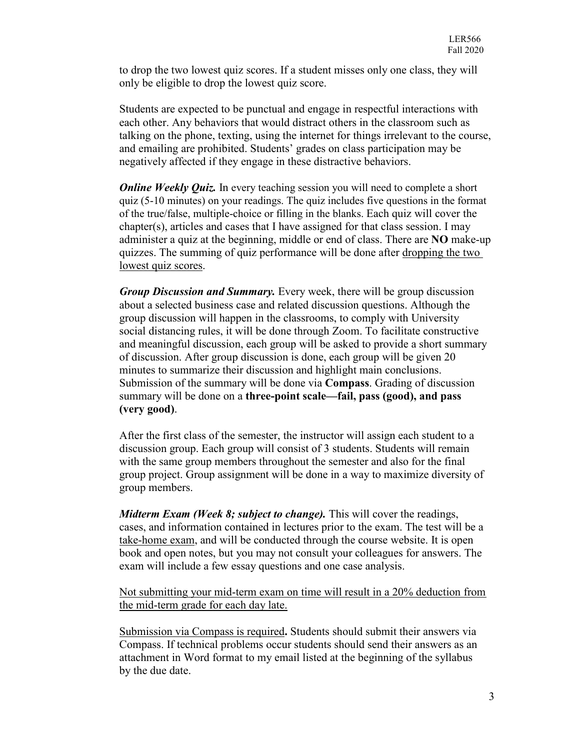to drop the two lowest quiz scores. If a student misses only one class, they will only be eligible to drop the lowest quiz score.

Students are expected to be punctual and engage in respectful interactions with each other. Any behaviors that would distract others in the classroom such as talking on the phone, texting, using the internet for things irrelevant to the course, and emailing are prohibited. Students' grades on class participation may be negatively affected if they engage in these distractive behaviors.

*Online Weekly Quiz.* In every teaching session you will need to complete a short quiz (5-10 minutes) on your readings. The quiz includes five questions in the format of the true/false, multiple-choice or filling in the blanks. Each quiz will cover the chapter(s), articles and cases that I have assigned for that class session. I may administer a quiz at the beginning, middle or end of class. There are **NO** make-up quizzes. The summing of quiz performance will be done after dropping the two lowest quiz scores.

*Group Discussion and Summary.* Every week, there will be group discussion about a selected business case and related discussion questions. Although the group discussion will happen in the classrooms, to comply with University social distancing rules, it will be done through Zoom. To facilitate constructive and meaningful discussion, each group will be asked to provide a short summary of discussion. After group discussion is done, each group will be given 20 minutes to summarize their discussion and highlight main conclusions. Submission of the summary will be done via **Compass**. Grading of discussion summary will be done on a **three-point scale—fail, pass (good), and pass (very good)**.

After the first class of the semester, the instructor will assign each student to a discussion group. Each group will consist of 3 students. Students will remain with the same group members throughout the semester and also for the final group project. Group assignment will be done in a way to maximize diversity of group members.

*Midterm Exam (Week 8; subject to change)*. This will cover the readings, cases, and information contained in lectures prior to the exam. The test will be a take-home exam, and will be conducted through the course website. It is open book and open notes, but you may not consult your colleagues for answers. The exam will include a few essay questions and one case analysis.

Not submitting your mid-term exam on time will result in a 20% deduction from the mid-term grade for each day late.

Submission via Compass is required**.** Students should submit their answers via Compass. If technical problems occur students should send their answers as an attachment in Word format to my email listed at the beginning of the syllabus by the due date.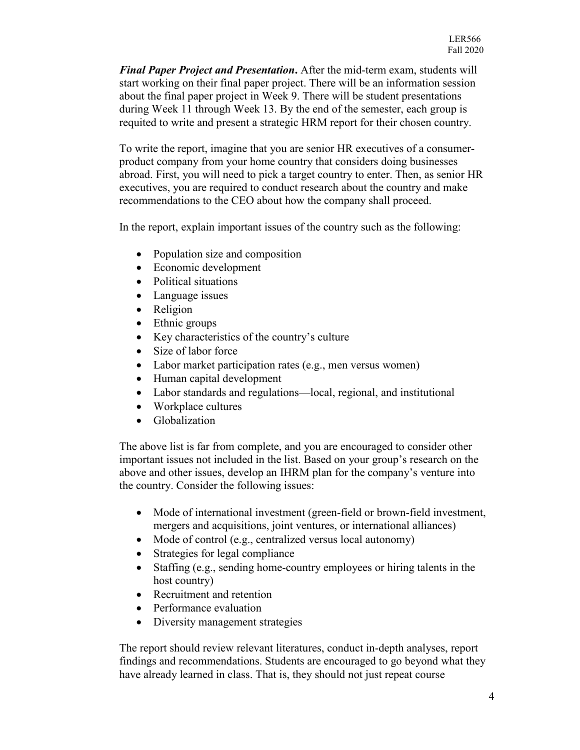*Final Paper Project and Presentation***.** After the mid-term exam, students will start working on their final paper project. There will be an information session about the final paper project in Week 9. There will be student presentations during Week 11 through Week 13. By the end of the semester, each group is requited to write and present a strategic HRM report for their chosen country.

To write the report, imagine that you are senior HR executives of a consumerproduct company from your home country that considers doing businesses abroad. First, you will need to pick a target country to enter. Then, as senior HR executives, you are required to conduct research about the country and make recommendations to the CEO about how the company shall proceed.

In the report, explain important issues of the country such as the following:

- Population size and composition
- Economic development
- Political situations
- Language issues
- Religion
- Ethnic groups
- Key characteristics of the country's culture
- Size of labor force
- Labor market participation rates (e.g., men versus women)
- Human capital development
- Labor standards and regulations—local, regional, and institutional
- Workplace cultures
- Globalization

The above list is far from complete, and you are encouraged to consider other important issues not included in the list. Based on your group's research on the above and other issues, develop an IHRM plan for the company's venture into the country. Consider the following issues:

- Mode of international investment (green-field or brown-field investment, mergers and acquisitions, joint ventures, or international alliances)
- Mode of control (e.g., centralized versus local autonomy)
- Strategies for legal compliance
- Staffing (e.g., sending home-country employees or hiring talents in the host country)
- Recruitment and retention
- Performance evaluation
- Diversity management strategies

The report should review relevant literatures, conduct in-depth analyses, report findings and recommendations. Students are encouraged to go beyond what they have already learned in class. That is, they should not just repeat course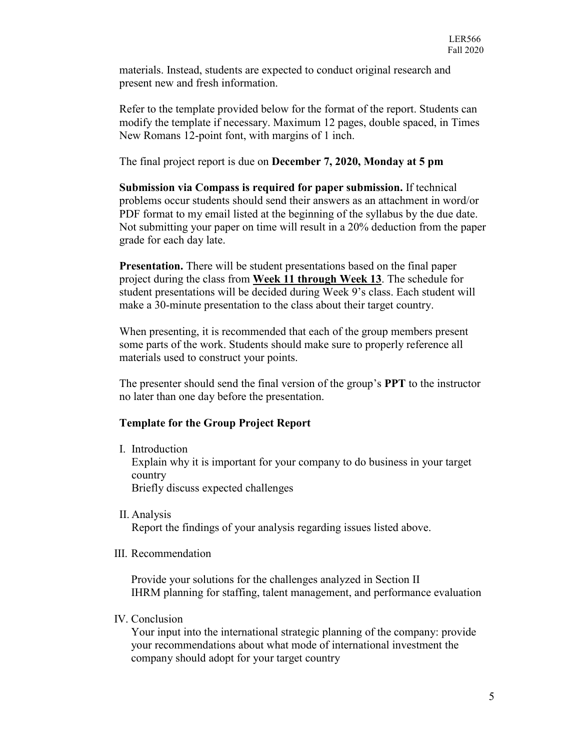materials. Instead, students are expected to conduct original research and present new and fresh information.

Refer to the template provided below for the format of the report. Students can modify the template if necessary. Maximum 12 pages, double spaced, in Times New Romans 12-point font, with margins of 1 inch.

The final project report is due on **December 7, 2020, Monday at 5 pm**

**Submission via Compass is required for paper submission.** If technical problems occur students should send their answers as an attachment in word/or PDF format to my email listed at the beginning of the syllabus by the due date. Not submitting your paper on time will result in a 20% deduction from the paper grade for each day late.

**Presentation.** There will be student presentations based on the final paper project during the class from **Week 11 through Week 13**. The schedule for student presentations will be decided during Week 9's class. Each student will make a 30-minute presentation to the class about their target country.

When presenting, it is recommended that each of the group members present some parts of the work. Students should make sure to properly reference all materials used to construct your points.

The presenter should send the final version of the group's **PPT** to the instructor no later than one day before the presentation.

## **Template for the Group Project Report**

I. Introduction

Explain why it is important for your company to do business in your target country

Briefly discuss expected challenges

II. Analysis

Report the findings of your analysis regarding issues listed above.

III. Recommendation

Provide your solutions for the challenges analyzed in Section II IHRM planning for staffing, talent management, and performance evaluation

IV. Conclusion

Your input into the international strategic planning of the company: provide your recommendations about what mode of international investment the company should adopt for your target country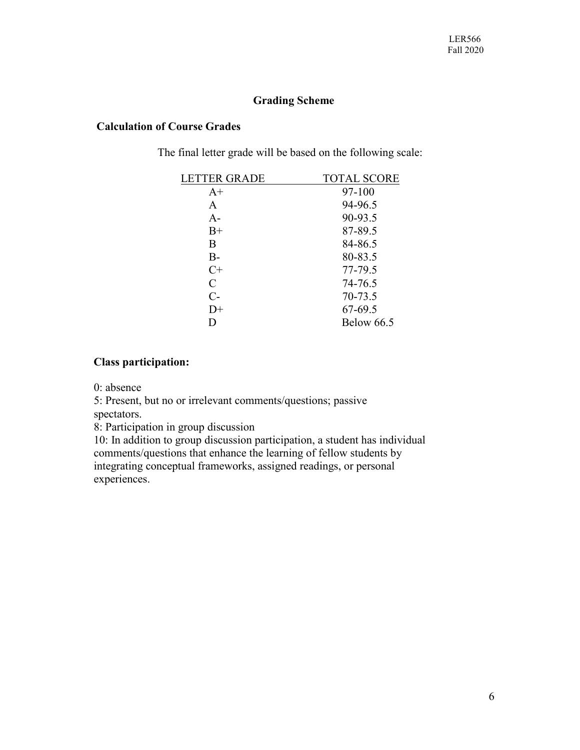## **Grading Scheme**

## **Calculation of Course Grades**

The final letter grade will be based on the following scale:

| <b>LETTER GRADE</b> | <b>TOTAL SCORE</b> |
|---------------------|--------------------|
| $A+$                | 97-100             |
| A                   | 94-96.5            |
| $A-$                | 90-93.5            |
| $B+$                | 87-89.5            |
| В                   | 84-86.5            |
| $B-$                | 80-83.5            |
| $C+$                | 77-79.5            |
| $\mathsf{C}$        | 74-76.5            |
| $C-$                | 70-73.5            |
| $D+$                | 67-69.5            |
| D                   | <b>Below 66.5</b>  |

# **Class participation:**

0: absence

5: Present, but no or irrelevant comments/questions; passive spectators.

8: Participation in group discussion

10: In addition to group discussion participation, a student has individual comments/questions that enhance the learning of fellow students by integrating conceptual frameworks, assigned readings, or personal experiences.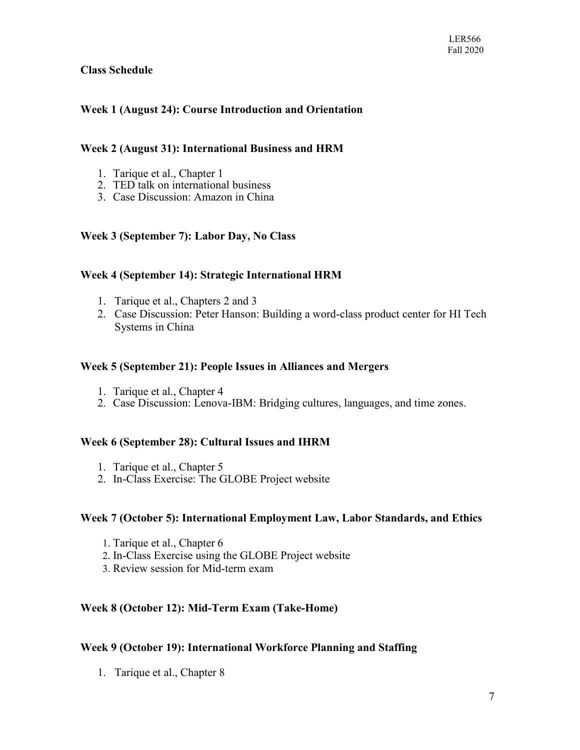## **Class Schedule**

## **Week 1 (August 24): Course Introduction and Orientation**

## **Week 2 (August 31): International Business and HRM**

- 1. Tarique et al., Chapter 1
- 2. TED talk on international business
- 3. Case Discussion: Amazon in China

### **Week 3 (September 7): Labor Day, No Class**

#### **Week 4 (September 14): Strategic International HRM**

- 1. Tarique et al., Chapters 2 and 3
- 2. Case Discussion: Peter Hanson: Building a word-class product center for HI Tech Systems in China

#### **Week 5 (September 21): People Issues in Alliances and Mergers**

- 1. Tarique et al., Chapter 4
- 2. Case Discussion: Lenova-IBM: Bridging cultures, languages, and time zones.

### **Week 6 (September 28): Cultural Issues and IHRM**

- 1. Tarique et al., Chapter 5
- 2. In-Class Exercise: The GLOBE Project website

#### **Week 7 (October 5): International Employment Law, Labor Standards, and Ethics**

- 1. Tarique et al., Chapter 6
- 2. In-Class Exercise using the GLOBE Project website
- 3. Review session for Mid-term exam

### **Week 8 (October 12): Mid-Term Exam (Take-Home)**

### **Week 9 (October 19): International Workforce Planning and Staffing**

1. Tarique et al., Chapter 8